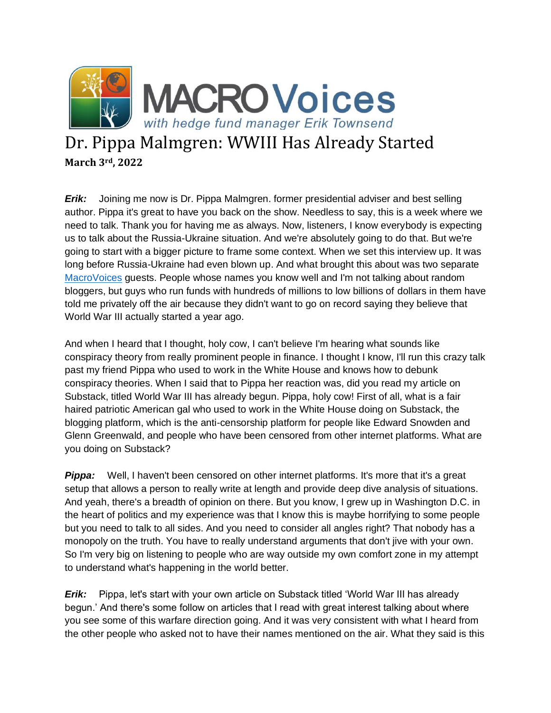

## Dr. Pippa Malmgren: WWIII Has Already Started **March 3rd, 2022**

*Erik:* Joining me now is Dr. Pippa Malmgren. former presidential adviser and best selling author. Pippa it's great to have you back on the show. Needless to say, this is a week where we need to talk. Thank you for having me as always. Now, listeners, I know everybody is expecting us to talk about the Russia-Ukraine situation. And we're absolutely going to do that. But we're going to start with a bigger picture to frame some context. When we set this interview up. It was long before Russia-Ukraine had even blown up. And what brought this about was two separate [MacroVoices](https://www.macrovoices.com/) guests. People whose names you know well and I'm not talking about random bloggers, but guys who run funds with hundreds of millions to low billions of dollars in them have told me privately off the air because they didn't want to go on record saying they believe that World War III actually started a year ago.

And when I heard that I thought, holy cow, I can't believe I'm hearing what sounds like conspiracy theory from really prominent people in finance. I thought I know, I'll run this crazy talk past my friend Pippa who used to work in the White House and knows how to debunk conspiracy theories. When I said that to Pippa her reaction was, did you read my article on Substack, titled World War III has already begun. Pippa, holy cow! First of all, what is a fair haired patriotic American gal who used to work in the White House doing on Substack, the blogging platform, which is the anti-censorship platform for people like Edward Snowden and Glenn Greenwald, and people who have been censored from other internet platforms. What are you doing on Substack?

**Pippa:** Well, I haven't been censored on other internet platforms. It's more that it's a great setup that allows a person to really write at length and provide deep dive analysis of situations. And yeah, there's a breadth of opinion on there. But you know, I grew up in Washington D.C. in the heart of politics and my experience was that I know this is maybe horrifying to some people but you need to talk to all sides. And you need to consider all angles right? That nobody has a monopoly on the truth. You have to really understand arguments that don't jive with your own. So I'm very big on listening to people who are way outside my own comfort zone in my attempt to understand what's happening in the world better.

**Erik:** Pippa, let's start with your own article on Substack titled 'World War III has already begun.' And there's some follow on articles that I read with great interest talking about where you see some of this warfare direction going. And it was very consistent with what I heard from the other people who asked not to have their names mentioned on the air. What they said is this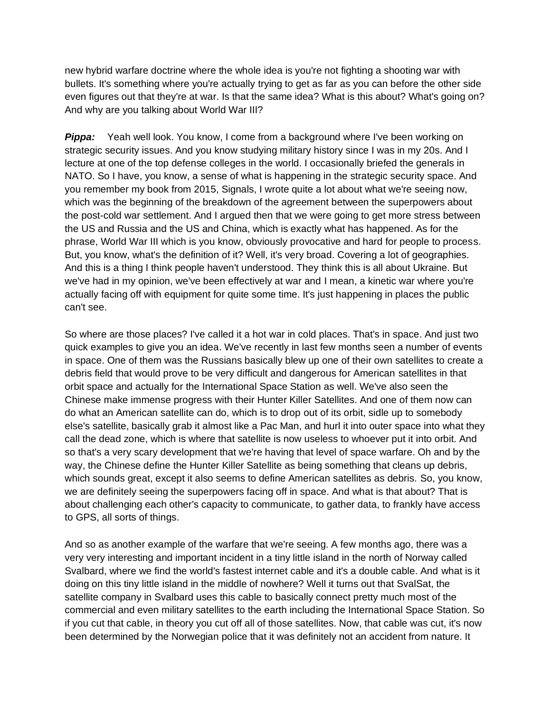new hybrid warfare doctrine where the whole idea is you're not fighting a shooting war with bullets. It's something where you're actually trying to get as far as you can before the other side even figures out that they're at war. Is that the same idea? What is this about? What's going on? And why are you talking about World War III?

**Pippa:** Yeah well look. You know, I come from a background where I've been working on strategic security issues. And you know studying military history since I was in my 20s. And I lecture at one of the top defense colleges in the world. I occasionally briefed the generals in NATO. So I have, you know, a sense of what is happening in the strategic security space. And you remember my book from 2015, Signals, I wrote quite a lot about what we're seeing now, which was the beginning of the breakdown of the agreement between the superpowers about the post-cold war settlement. And I argued then that we were going to get more stress between the US and Russia and the US and China, which is exactly what has happened. As for the phrase, World War III which is you know, obviously provocative and hard for people to process. But, you know, what's the definition of it? Well, it's very broad. Covering a lot of geographies. And this is a thing I think people haven't understood. They think this is all about Ukraine. But we've had in my opinion, we've been effectively at war and I mean, a kinetic war where you're actually facing off with equipment for quite some time. It's just happening in places the public can't see.

So where are those places? I've called it a hot war in cold places. That's in space. And just two quick examples to give you an idea. We've recently in last few months seen a number of events in space. One of them was the Russians basically blew up one of their own satellites to create a debris field that would prove to be very difficult and dangerous for American satellites in that orbit space and actually for the International Space Station as well. We've also seen the Chinese make immense progress with their Hunter Killer Satellites. And one of them now can do what an American satellite can do, which is to drop out of its orbit, sidle up to somebody else's satellite, basically grab it almost like a Pac Man, and hurl it into outer space into what they call the dead zone, which is where that satellite is now useless to whoever put it into orbit. And so that's a very scary development that we're having that level of space warfare. Oh and by the way, the Chinese define the Hunter Killer Satellite as being something that cleans up debris, which sounds great, except it also seems to define American satellites as debris. So, you know, we are definitely seeing the superpowers facing off in space. And what is that about? That is about challenging each other's capacity to communicate, to gather data, to frankly have access to GPS, all sorts of things.

And so as another example of the warfare that we're seeing. A few months ago, there was a very very interesting and important incident in a tiny little island in the north of Norway called Svalbard, where we find the world's fastest internet cable and it's a double cable. And what is it doing on this tiny little island in the middle of nowhere? Well it turns out that SvalSat, the satellite company in Svalbard uses this cable to basically connect pretty much most of the commercial and even military satellites to the earth including the International Space Station. So if you cut that cable, in theory you cut off all of those satellites. Now, that cable was cut, it's now been determined by the Norwegian police that it was definitely not an accident from nature. It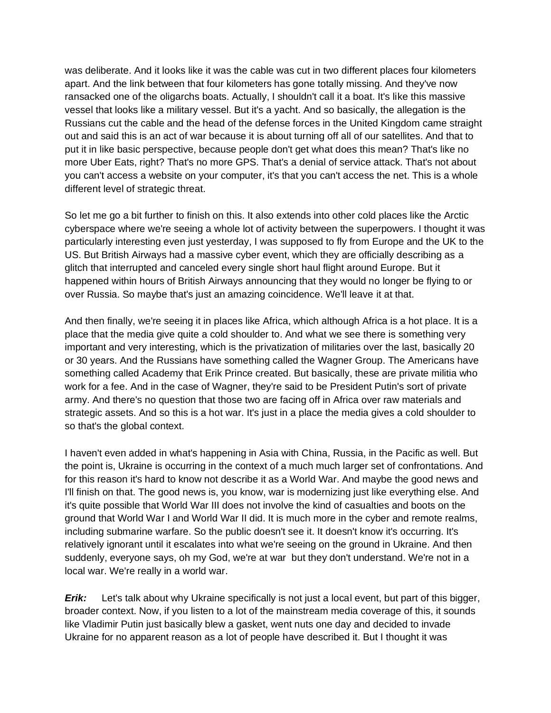was deliberate. And it looks like it was the cable was cut in two different places four kilometers apart. And the link between that four kilometers has gone totally missing. And they've now ransacked one of the oligarchs boats. Actually, I shouldn't call it a boat. It's like this massive vessel that looks like a military vessel. But it's a yacht. And so basically, the allegation is the Russians cut the cable and the head of the defense forces in the United Kingdom came straight out and said this is an act of war because it is about turning off all of our satellites. And that to put it in like basic perspective, because people don't get what does this mean? That's like no more Uber Eats, right? That's no more GPS. That's a denial of service attack. That's not about you can't access a website on your computer, it's that you can't access the net. This is a whole different level of strategic threat.

So let me go a bit further to finish on this. It also extends into other cold places like the Arctic cyberspace where we're seeing a whole lot of activity between the superpowers. I thought it was particularly interesting even just yesterday, I was supposed to fly from Europe and the UK to the US. But British Airways had a massive cyber event, which they are officially describing as a glitch that interrupted and canceled every single short haul flight around Europe. But it happened within hours of British Airways announcing that they would no longer be flying to or over Russia. So maybe that's just an amazing coincidence. We'll leave it at that.

And then finally, we're seeing it in places like Africa, which although Africa is a hot place. It is a place that the media give quite a cold shoulder to. And what we see there is something very important and very interesting, which is the privatization of militaries over the last, basically 20 or 30 years. And the Russians have something called the Wagner Group. The Americans have something called Academy that Erik Prince created. But basically, these are private militia who work for a fee. And in the case of Wagner, they're said to be President Putin's sort of private army. And there's no question that those two are facing off in Africa over raw materials and strategic assets. And so this is a hot war. It's just in a place the media gives a cold shoulder to so that's the global context.

I haven't even added in what's happening in Asia with China, Russia, in the Pacific as well. But the point is, Ukraine is occurring in the context of a much much larger set of confrontations. And for this reason it's hard to know not describe it as a World War. And maybe the good news and I'll finish on that. The good news is, you know, war is modernizing just like everything else. And it's quite possible that World War III does not involve the kind of casualties and boots on the ground that World War I and World War II did. It is much more in the cyber and remote realms, including submarine warfare. So the public doesn't see it. It doesn't know it's occurring. It's relatively ignorant until it escalates into what we're seeing on the ground in Ukraine. And then suddenly, everyone says, oh my God, we're at war but they don't understand. We're not in a local war. We're really in a world war.

*Erik:* Let's talk about why Ukraine specifically is not just a local event, but part of this bigger, broader context. Now, if you listen to a lot of the mainstream media coverage of this, it sounds like Vladimir Putin just basically blew a gasket, went nuts one day and decided to invade Ukraine for no apparent reason as a lot of people have described it. But I thought it was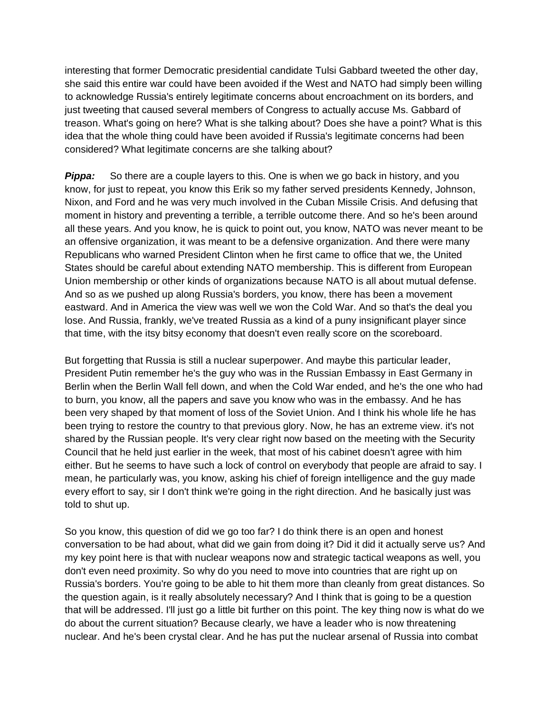interesting that former Democratic presidential candidate Tulsi Gabbard tweeted the other day, she said this entire war could have been avoided if the West and NATO had simply been willing to acknowledge Russia's entirely legitimate concerns about encroachment on its borders, and just tweeting that caused several members of Congress to actually accuse Ms. Gabbard of treason. What's going on here? What is she talking about? Does she have a point? What is this idea that the whole thing could have been avoided if Russia's legitimate concerns had been considered? What legitimate concerns are she talking about?

**Pippa:** So there are a couple layers to this. One is when we go back in history, and you know, for just to repeat, you know this Erik so my father served presidents Kennedy, Johnson, Nixon, and Ford and he was very much involved in the Cuban Missile Crisis. And defusing that moment in history and preventing a terrible, a terrible outcome there. And so he's been around all these years. And you know, he is quick to point out, you know, NATO was never meant to be an offensive organization, it was meant to be a defensive organization. And there were many Republicans who warned President Clinton when he first came to office that we, the United States should be careful about extending NATO membership. This is different from European Union membership or other kinds of organizations because NATO is all about mutual defense. And so as we pushed up along Russia's borders, you know, there has been a movement eastward. And in America the view was well we won the Cold War. And so that's the deal you lose. And Russia, frankly, we've treated Russia as a kind of a puny insignificant player since that time, with the itsy bitsy economy that doesn't even really score on the scoreboard.

But forgetting that Russia is still a nuclear superpower. And maybe this particular leader, President Putin remember he's the guy who was in the Russian Embassy in East Germany in Berlin when the Berlin Wall fell down, and when the Cold War ended, and he's the one who had to burn, you know, all the papers and save you know who was in the embassy. And he has been very shaped by that moment of loss of the Soviet Union. And I think his whole life he has been trying to restore the country to that previous glory. Now, he has an extreme view. it's not shared by the Russian people. It's very clear right now based on the meeting with the Security Council that he held just earlier in the week, that most of his cabinet doesn't agree with him either. But he seems to have such a lock of control on everybody that people are afraid to say. I mean, he particularly was, you know, asking his chief of foreign intelligence and the guy made every effort to say, sir I don't think we're going in the right direction. And he basically just was told to shut up.

So you know, this question of did we go too far? I do think there is an open and honest conversation to be had about, what did we gain from doing it? Did it did it actually serve us? And my key point here is that with nuclear weapons now and strategic tactical weapons as well, you don't even need proximity. So why do you need to move into countries that are right up on Russia's borders. You're going to be able to hit them more than cleanly from great distances. So the question again, is it really absolutely necessary? And I think that is going to be a question that will be addressed. I'll just go a little bit further on this point. The key thing now is what do we do about the current situation? Because clearly, we have a leader who is now threatening nuclear. And he's been crystal clear. And he has put the nuclear arsenal of Russia into combat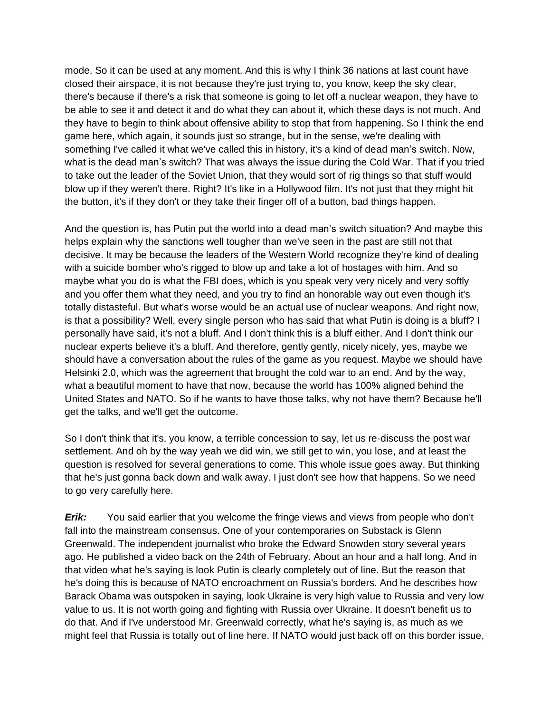mode. So it can be used at any moment. And this is why I think 36 nations at last count have closed their airspace, it is not because they're just trying to, you know, keep the sky clear, there's because if there's a risk that someone is going to let off a nuclear weapon, they have to be able to see it and detect it and do what they can about it, which these days is not much. And they have to begin to think about offensive ability to stop that from happening. So I think the end game here, which again, it sounds just so strange, but in the sense, we're dealing with something I've called it what we've called this in history, it's a kind of dead man's switch. Now, what is the dead man's switch? That was always the issue during the Cold War. That if you tried to take out the leader of the Soviet Union, that they would sort of rig things so that stuff would blow up if they weren't there. Right? It's like in a Hollywood film. It's not just that they might hit the button, it's if they don't or they take their finger off of a button, bad things happen.

And the question is, has Putin put the world into a dead man's switch situation? And maybe this helps explain why the sanctions well tougher than we've seen in the past are still not that decisive. It may be because the leaders of the Western World recognize they're kind of dealing with a suicide bomber who's rigged to blow up and take a lot of hostages with him. And so maybe what you do is what the FBI does, which is you speak very very nicely and very softly and you offer them what they need, and you try to find an honorable way out even though it's totally distasteful. But what's worse would be an actual use of nuclear weapons. And right now, is that a possibility? Well, every single person who has said that what Putin is doing is a bluff? I personally have said, it's not a bluff. And I don't think this is a bluff either. And I don't think our nuclear experts believe it's a bluff. And therefore, gently gently, nicely nicely, yes, maybe we should have a conversation about the rules of the game as you request. Maybe we should have Helsinki 2.0, which was the agreement that brought the cold war to an end. And by the way, what a beautiful moment to have that now, because the world has 100% aligned behind the United States and NATO. So if he wants to have those talks, why not have them? Because he'll get the talks, and we'll get the outcome.

So I don't think that it's, you know, a terrible concession to say, let us re-discuss the post war settlement. And oh by the way yeah we did win, we still get to win, you lose, and at least the question is resolved for several generations to come. This whole issue goes away. But thinking that he's just gonna back down and walk away. I just don't see how that happens. So we need to go very carefully here.

*Erik:* You said earlier that you welcome the fringe views and views from people who don't fall into the mainstream consensus. One of your contemporaries on Substack is Glenn Greenwald. The independent journalist who broke the Edward Snowden story several years ago. He published a video back on the 24th of February. About an hour and a half long. And in that video what he's saying is look Putin is clearly completely out of line. But the reason that he's doing this is because of NATO encroachment on Russia's borders. And he describes how Barack Obama was outspoken in saying, look Ukraine is very high value to Russia and very low value to us. It is not worth going and fighting with Russia over Ukraine. It doesn't benefit us to do that. And if I've understood Mr. Greenwald correctly, what he's saying is, as much as we might feel that Russia is totally out of line here. If NATO would just back off on this border issue,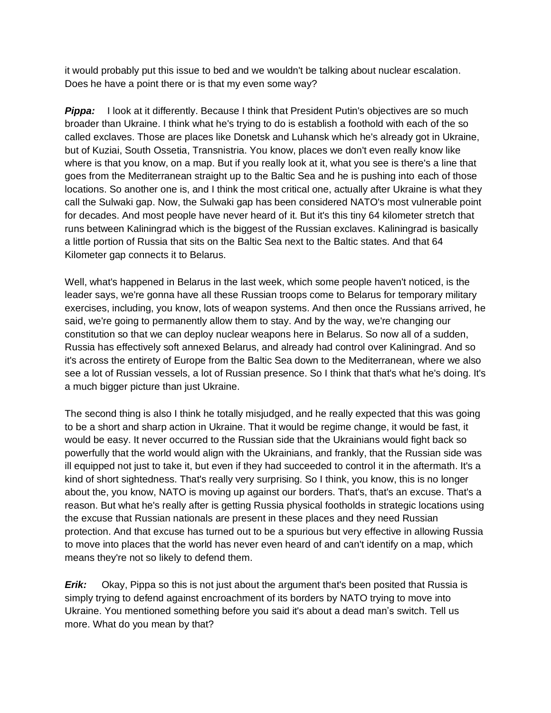it would probably put this issue to bed and we wouldn't be talking about nuclear escalation. Does he have a point there or is that my even some way?

**Pippa:** I look at it differently. Because I think that President Putin's objectives are so much broader than Ukraine. I think what he's trying to do is establish a foothold with each of the so called exclaves. Those are places like Donetsk and Luhansk which he's already got in Ukraine, but of Kuziai, South Ossetia, Transnistria. You know, places we don't even really know like where is that you know, on a map. But if you really look at it, what you see is there's a line that goes from the Mediterranean straight up to the Baltic Sea and he is pushing into each of those locations. So another one is, and I think the most critical one, actually after Ukraine is what they call the Sulwaki gap. Now, the Sulwaki gap has been considered NATO's most vulnerable point for decades. And most people have never heard of it. But it's this tiny 64 kilometer stretch that runs between Kaliningrad which is the biggest of the Russian exclaves. Kaliningrad is basically a little portion of Russia that sits on the Baltic Sea next to the Baltic states. And that 64 Kilometer gap connects it to Belarus.

Well, what's happened in Belarus in the last week, which some people haven't noticed, is the leader says, we're gonna have all these Russian troops come to Belarus for temporary military exercises, including, you know, lots of weapon systems. And then once the Russians arrived, he said, we're going to permanently allow them to stay. And by the way, we're changing our constitution so that we can deploy nuclear weapons here in Belarus. So now all of a sudden, Russia has effectively soft annexed Belarus, and already had control over Kaliningrad. And so it's across the entirety of Europe from the Baltic Sea down to the Mediterranean, where we also see a lot of Russian vessels, a lot of Russian presence. So I think that that's what he's doing. It's a much bigger picture than just Ukraine.

The second thing is also I think he totally misjudged, and he really expected that this was going to be a short and sharp action in Ukraine. That it would be regime change, it would be fast, it would be easy. It never occurred to the Russian side that the Ukrainians would fight back so powerfully that the world would align with the Ukrainians, and frankly, that the Russian side was ill equipped not just to take it, but even if they had succeeded to control it in the aftermath. It's a kind of short sightedness. That's really very surprising. So I think, you know, this is no longer about the, you know, NATO is moving up against our borders. That's, that's an excuse. That's a reason. But what he's really after is getting Russia physical footholds in strategic locations using the excuse that Russian nationals are present in these places and they need Russian protection. And that excuse has turned out to be a spurious but very effective in allowing Russia to move into places that the world has never even heard of and can't identify on a map, which means they're not so likely to defend them.

*Erik:* Okay, Pippa so this is not just about the argument that's been posited that Russia is simply trying to defend against encroachment of its borders by NATO trying to move into Ukraine. You mentioned something before you said it's about a dead man's switch. Tell us more. What do you mean by that?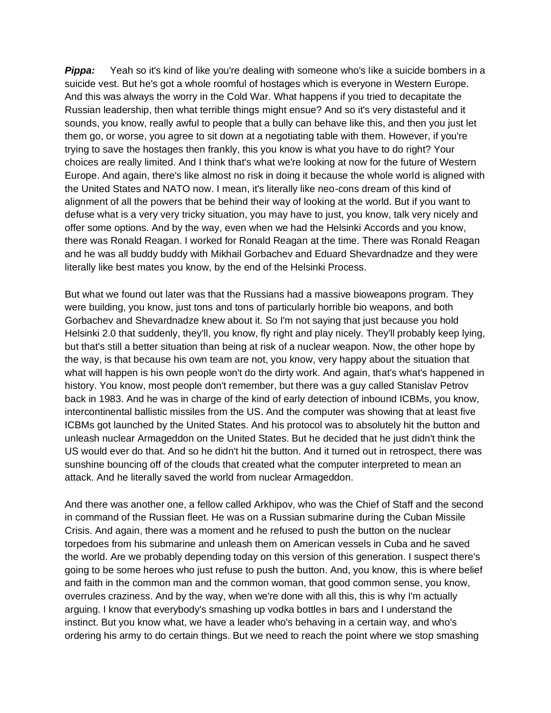**Pippa:** Yeah so it's kind of like you're dealing with someone who's like a suicide bombers in a suicide vest. But he's got a whole roomful of hostages which is everyone in Western Europe. And this was always the worry in the Cold War. What happens if you tried to decapitate the Russian leadership, then what terrible things might ensue? And so it's very distasteful and it sounds, you know, really awful to people that a bully can behave like this, and then you just let them go, or worse, you agree to sit down at a negotiating table with them. However, if you're trying to save the hostages then frankly, this you know is what you have to do right? Your choices are really limited. And I think that's what we're looking at now for the future of Western Europe. And again, there's like almost no risk in doing it because the whole world is aligned with the United States and NATO now. I mean, it's literally like neo-cons dream of this kind of alignment of all the powers that be behind their way of looking at the world. But if you want to defuse what is a very very tricky situation, you may have to just, you know, talk very nicely and offer some options. And by the way, even when we had the Helsinki Accords and you know, there was Ronald Reagan. I worked for Ronald Reagan at the time. There was Ronald Reagan and he was all buddy buddy with Mikhail Gorbachev and Eduard Shevardnadze and they were literally like best mates you know, by the end of the Helsinki Process.

But what we found out later was that the Russians had a massive bioweapons program. They were building, you know, just tons and tons of particularly horrible bio weapons, and both Gorbachev and Shevardnadze knew about it. So I'm not saying that just because you hold Helsinki 2.0 that suddenly, they'll, you know, fly right and play nicely. They'll probably keep lying, but that's still a better situation than being at risk of a nuclear weapon. Now, the other hope by the way, is that because his own team are not, you know, very happy about the situation that what will happen is his own people won't do the dirty work. And again, that's what's happened in history. You know, most people don't remember, but there was a guy called Stanislav Petrov back in 1983. And he was in charge of the kind of early detection of inbound ICBMs, you know, intercontinental ballistic missiles from the US. And the computer was showing that at least five ICBMs got launched by the United States. And his protocol was to absolutely hit the button and unleash nuclear Armageddon on the United States. But he decided that he just didn't think the US would ever do that. And so he didn't hit the button. And it turned out in retrospect, there was sunshine bouncing off of the clouds that created what the computer interpreted to mean an attack. And he literally saved the world from nuclear Armageddon.

And there was another one, a fellow called Arkhipov, who was the Chief of Staff and the second in command of the Russian fleet. He was on a Russian submarine during the Cuban Missile Crisis. And again, there was a moment and he refused to push the button on the nuclear torpedoes from his submarine and unleash them on American vessels in Cuba and he saved the world. Are we probably depending today on this version of this generation. I suspect there's going to be some heroes who just refuse to push the button. And, you know, this is where belief and faith in the common man and the common woman, that good common sense, you know, overrules craziness. And by the way, when we're done with all this, this is why I'm actually arguing. I know that everybody's smashing up vodka bottles in bars and I understand the instinct. But you know what, we have a leader who's behaving in a certain way, and who's ordering his army to do certain things. But we need to reach the point where we stop smashing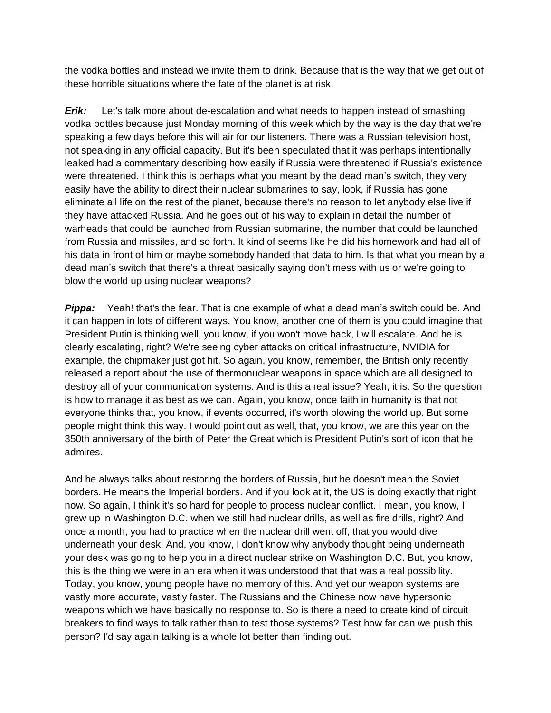the vodka bottles and instead we invite them to drink. Because that is the way that we get out of these horrible situations where the fate of the planet is at risk.

*Erik:* Let's talk more about de-escalation and what needs to happen instead of smashing vodka bottles because just Monday morning of this week which by the way is the day that we're speaking a few days before this will air for our listeners. There was a Russian television host, not speaking in any official capacity. But it's been speculated that it was perhaps intentionally leaked had a commentary describing how easily if Russia were threatened if Russia's existence were threatened. I think this is perhaps what you meant by the dead man's switch, they very easily have the ability to direct their nuclear submarines to say, look, if Russia has gone eliminate all life on the rest of the planet, because there's no reason to let anybody else live if they have attacked Russia. And he goes out of his way to explain in detail the number of warheads that could be launched from Russian submarine, the number that could be launched from Russia and missiles, and so forth. It kind of seems like he did his homework and had all of his data in front of him or maybe somebody handed that data to him. Is that what you mean by a dead man's switch that there's a threat basically saying don't mess with us or we're going to blow the world up using nuclear weapons?

**Pippa:** Yeah! that's the fear. That is one example of what a dead man's switch could be. And it can happen in lots of different ways. You know, another one of them is you could imagine that President Putin is thinking well, you know, if you won't move back, I will escalate. And he is clearly escalating, right? We're seeing cyber attacks on critical infrastructure, NVIDIA for example, the chipmaker just got hit. So again, you know, remember, the British only recently released a report about the use of thermonuclear weapons in space which are all designed to destroy all of your communication systems. And is this a real issue? Yeah, it is. So the question is how to manage it as best as we can. Again, you know, once faith in humanity is that not everyone thinks that, you know, if events occurred, it's worth blowing the world up. But some people might think this way. I would point out as well, that, you know, we are this year on the 350th anniversary of the birth of Peter the Great which is President Putin's sort of icon that he admires.

And he always talks about restoring the borders of Russia, but he doesn't mean the Soviet borders. He means the Imperial borders. And if you look at it, the US is doing exactly that right now. So again, I think it's so hard for people to process nuclear conflict. I mean, you know, I grew up in Washington D.C. when we still had nuclear drills, as well as fire drills, right? And once a month, you had to practice when the nuclear drill went off, that you would dive underneath your desk. And, you know, I don't know why anybody thought being underneath your desk was going to help you in a direct nuclear strike on Washington D.C. But, you know, this is the thing we were in an era when it was understood that that was a real possibility. Today, you know, young people have no memory of this. And yet our weapon systems are vastly more accurate, vastly faster. The Russians and the Chinese now have hypersonic weapons which we have basically no response to. So is there a need to create kind of circuit breakers to find ways to talk rather than to test those systems? Test how far can we push this person? I'd say again talking is a whole lot better than finding out.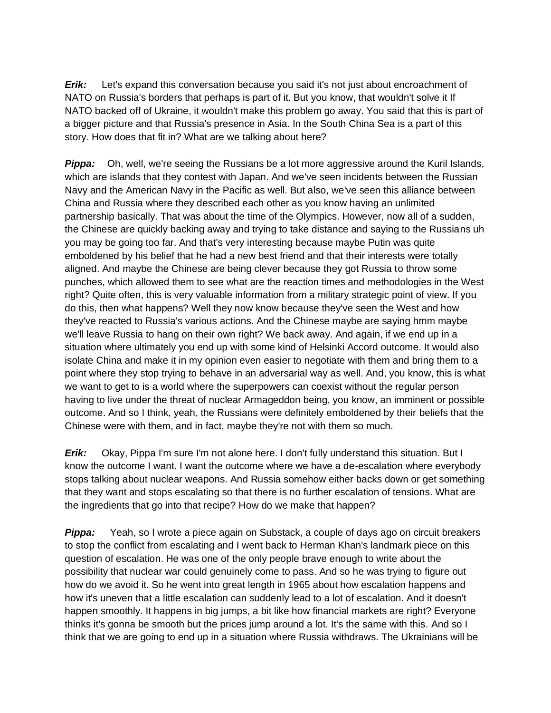**Erik:** Let's expand this conversation because you said it's not just about encroachment of NATO on Russia's borders that perhaps is part of it. But you know, that wouldn't solve it If NATO backed off of Ukraine, it wouldn't make this problem go away. You said that this is part of a bigger picture and that Russia's presence in Asia. In the South China Sea is a part of this story. How does that fit in? What are we talking about here?

**Pippa:** Oh, well, we're seeing the Russians be a lot more aggressive around the Kuril Islands, which are islands that they contest with Japan. And we've seen incidents between the Russian Navy and the American Navy in the Pacific as well. But also, we've seen this alliance between China and Russia where they described each other as you know having an unlimited partnership basically. That was about the time of the Olympics. However, now all of a sudden, the Chinese are quickly backing away and trying to take distance and saying to the Russians uh you may be going too far. And that's very interesting because maybe Putin was quite emboldened by his belief that he had a new best friend and that their interests were totally aligned. And maybe the Chinese are being clever because they got Russia to throw some punches, which allowed them to see what are the reaction times and methodologies in the West right? Quite often, this is very valuable information from a military strategic point of view. If you do this, then what happens? Well they now know because they've seen the West and how they've reacted to Russia's various actions. And the Chinese maybe are saying hmm maybe we'll leave Russia to hang on their own right? We back away. And again, if we end up in a situation where ultimately you end up with some kind of Helsinki Accord outcome. It would also isolate China and make it in my opinion even easier to negotiate with them and bring them to a point where they stop trying to behave in an adversarial way as well. And, you know, this is what we want to get to is a world where the superpowers can coexist without the regular person having to live under the threat of nuclear Armageddon being, you know, an imminent or possible outcome. And so I think, yeah, the Russians were definitely emboldened by their beliefs that the Chinese were with them, and in fact, maybe they're not with them so much.

*Erik:* Okay, Pippa I'm sure I'm not alone here. I don't fully understand this situation. But I know the outcome I want. I want the outcome where we have a de-escalation where everybody stops talking about nuclear weapons. And Russia somehow either backs down or get something that they want and stops escalating so that there is no further escalation of tensions. What are the ingredients that go into that recipe? How do we make that happen?

**Pippa:** Yeah, so I wrote a piece again on Substack, a couple of days ago on circuit breakers to stop the conflict from escalating and I went back to Herman Khan's landmark piece on this question of escalation. He was one of the only people brave enough to write about the possibility that nuclear war could genuinely come to pass. And so he was trying to figure out how do we avoid it. So he went into great length in 1965 about how escalation happens and how it's uneven that a little escalation can suddenly lead to a lot of escalation. And it doesn't happen smoothly. It happens in big jumps, a bit like how financial markets are right? Everyone thinks it's gonna be smooth but the prices jump around a lot. It's the same with this. And so I think that we are going to end up in a situation where Russia withdraws. The Ukrainians will be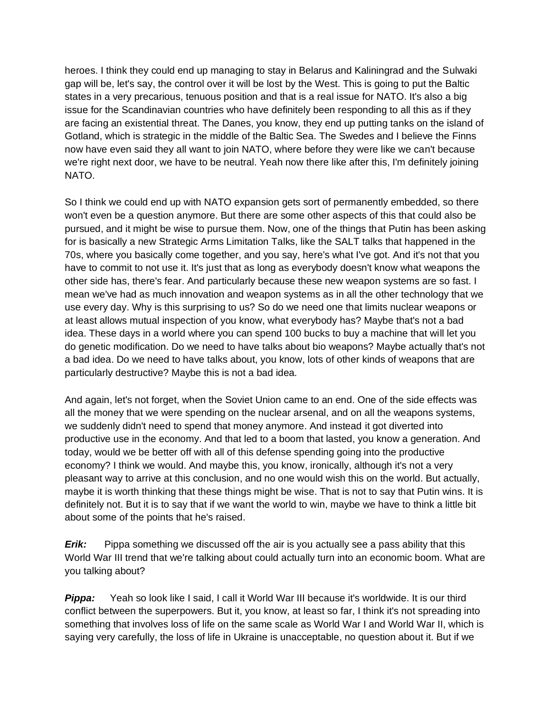heroes. I think they could end up managing to stay in Belarus and Kaliningrad and the Sulwaki gap will be, let's say, the control over it will be lost by the West. This is going to put the Baltic states in a very precarious, tenuous position and that is a real issue for NATO. It's also a big issue for the Scandinavian countries who have definitely been responding to all this as if they are facing an existential threat. The Danes, you know, they end up putting tanks on the island of Gotland, which is strategic in the middle of the Baltic Sea. The Swedes and I believe the Finns now have even said they all want to join NATO, where before they were like we can't because we're right next door, we have to be neutral. Yeah now there like after this, I'm definitely joining NATO.

So I think we could end up with NATO expansion gets sort of permanently embedded, so there won't even be a question anymore. But there are some other aspects of this that could also be pursued, and it might be wise to pursue them. Now, one of the things that Putin has been asking for is basically a new Strategic Arms Limitation Talks, like the SALT talks that happened in the 70s, where you basically come together, and you say, here's what I've got. And it's not that you have to commit to not use it. It's just that as long as everybody doesn't know what weapons the other side has, there's fear. And particularly because these new weapon systems are so fast. I mean we've had as much innovation and weapon systems as in all the other technology that we use every day. Why is this surprising to us? So do we need one that limits nuclear weapons or at least allows mutual inspection of you know, what everybody has? Maybe that's not a bad idea. These days in a world where you can spend 100 bucks to buy a machine that will let you do genetic modification. Do we need to have talks about bio weapons? Maybe actually that's not a bad idea. Do we need to have talks about, you know, lots of other kinds of weapons that are particularly destructive? Maybe this is not a bad idea.

And again, let's not forget, when the Soviet Union came to an end. One of the side effects was all the money that we were spending on the nuclear arsenal, and on all the weapons systems, we suddenly didn't need to spend that money anymore. And instead it got diverted into productive use in the economy. And that led to a boom that lasted, you know a generation. And today, would we be better off with all of this defense spending going into the productive economy? I think we would. And maybe this, you know, ironically, although it's not a very pleasant way to arrive at this conclusion, and no one would wish this on the world. But actually, maybe it is worth thinking that these things might be wise. That is not to say that Putin wins. It is definitely not. But it is to say that if we want the world to win, maybe we have to think a little bit about some of the points that he's raised.

**Erik:** Pippa something we discussed off the air is you actually see a pass ability that this World War III trend that we're talking about could actually turn into an economic boom. What are you talking about?

**Pippa:** Yeah so look like I said, I call it World War III because it's worldwide. It is our third conflict between the superpowers. But it, you know, at least so far, I think it's not spreading into something that involves loss of life on the same scale as World War I and World War II, which is saying very carefully, the loss of life in Ukraine is unacceptable, no question about it. But if we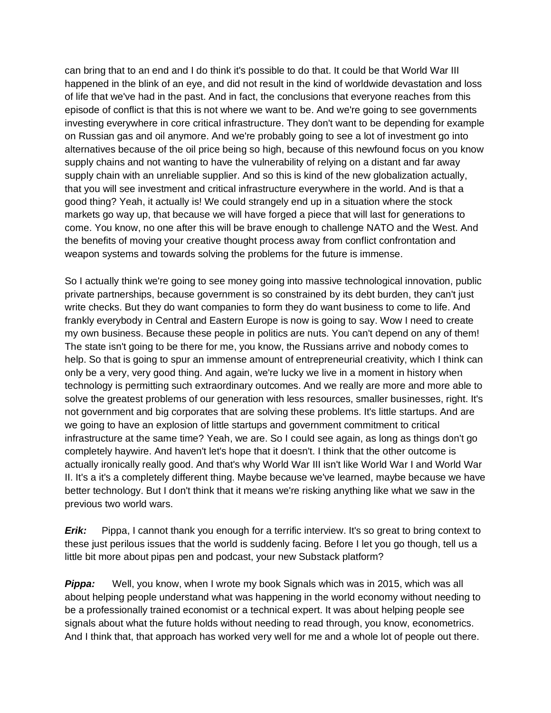can bring that to an end and I do think it's possible to do that. It could be that World War III happened in the blink of an eye, and did not result in the kind of worldwide devastation and loss of life that we've had in the past. And in fact, the conclusions that everyone reaches from this episode of conflict is that this is not where we want to be. And we're going to see governments investing everywhere in core critical infrastructure. They don't want to be depending for example on Russian gas and oil anymore. And we're probably going to see a lot of investment go into alternatives because of the oil price being so high, because of this newfound focus on you know supply chains and not wanting to have the vulnerability of relying on a distant and far away supply chain with an unreliable supplier. And so this is kind of the new globalization actually, that you will see investment and critical infrastructure everywhere in the world. And is that a good thing? Yeah, it actually is! We could strangely end up in a situation where the stock markets go way up, that because we will have forged a piece that will last for generations to come. You know, no one after this will be brave enough to challenge NATO and the West. And the benefits of moving your creative thought process away from conflict confrontation and weapon systems and towards solving the problems for the future is immense.

So I actually think we're going to see money going into massive technological innovation, public private partnerships, because government is so constrained by its debt burden, they can't just write checks. But they do want companies to form they do want business to come to life. And frankly everybody in Central and Eastern Europe is now is going to say. Wow I need to create my own business. Because these people in politics are nuts. You can't depend on any of them! The state isn't going to be there for me, you know, the Russians arrive and nobody comes to help. So that is going to spur an immense amount of entrepreneurial creativity, which I think can only be a very, very good thing. And again, we're lucky we live in a moment in history when technology is permitting such extraordinary outcomes. And we really are more and more able to solve the greatest problems of our generation with less resources, smaller businesses, right. It's not government and big corporates that are solving these problems. It's little startups. And are we going to have an explosion of little startups and government commitment to critical infrastructure at the same time? Yeah, we are. So I could see again, as long as things don't go completely haywire. And haven't let's hope that it doesn't. I think that the other outcome is actually ironically really good. And that's why World War III isn't like World War I and World War II. It's a it's a completely different thing. Maybe because we've learned, maybe because we have better technology. But I don't think that it means we're risking anything like what we saw in the previous two world wars.

*Erik:* Pippa, I cannot thank you enough for a terrific interview. It's so great to bring context to these just perilous issues that the world is suddenly facing. Before I let you go though, tell us a little bit more about pipas pen and podcast, your new Substack platform?

**Pippa:** Well, you know, when I wrote my book Signals which was in 2015, which was all about helping people understand what was happening in the world economy without needing to be a professionally trained economist or a technical expert. It was about helping people see signals about what the future holds without needing to read through, you know, econometrics. And I think that, that approach has worked very well for me and a whole lot of people out there.